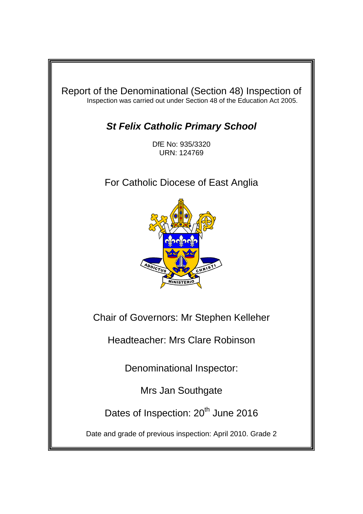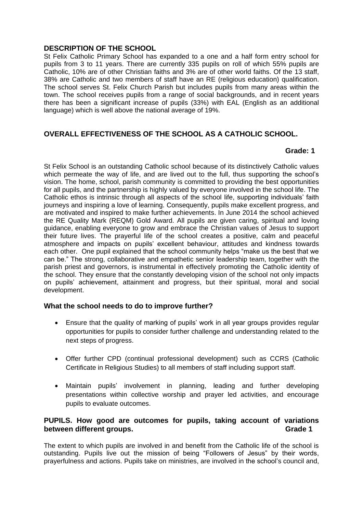#### **DESCRIPTION OF THE SCHOOL**

St Felix Catholic Primary School has expanded to a one and a half form entry school for pupils from 3 to 11 years. There are currently 335 pupils on roll of which 55% pupils are Catholic, 10% are of other Christian faiths and 3% are of other world faiths. Of the 13 staff, 38% are Catholic and two members of staff have an RE (religious education) qualification. The school serves St. Felix Church Parish but includes pupils from many areas within the town. The school receives pupils from a range of social backgrounds, and in recent years there has been a significant increase of pupils (33%) with EAL (English as an additional language) which is well above the national average of 19%.

# **OVERALL EFFECTIVENESS OF THE SCHOOL AS A CATHOLIC SCHOOL.**

# **Grade: 1**

St Felix School is an outstanding Catholic school because of its distinctively Catholic values which permeate the way of life, and are lived out to the full, thus supporting the school's vision. The home, school, parish community is committed to providing the best opportunities for all pupils, and the partnership is highly valued by everyone involved in the school life. The Catholic ethos is intrinsic through all aspects of the school life, supporting individuals' faith journeys and inspiring a love of learning. Consequently, pupils make excellent progress, and are motivated and inspired to make further achievements. In June 2014 the school achieved the RE Quality Mark (REQM) Gold Award. All pupils are given caring, spiritual and loving guidance, enabling everyone to grow and embrace the Christian values of Jesus to support their future lives. The prayerful life of the school creates a positive, calm and peaceful atmosphere and impacts on pupils' excellent behaviour, attitudes and kindness towards each other. One pupil explained that the school community helps "make us the best that we can be." The strong, collaborative and empathetic senior leadership team, together with the parish priest and governors, is instrumental in effectively promoting the Catholic identity of the school. They ensure that the constantly developing vision of the school not only impacts on pupils' achievement, attainment and progress, but their spiritual, moral and social development.

# **What the school needs to do to improve further?**

- Ensure that the quality of marking of pupils' work in all year groups provides regular opportunities for pupils to consider further challenge and understanding related to the next steps of progress.
- Offer further CPD (continual professional development) such as CCRS (Catholic Certificate in Religious Studies) to all members of staff including support staff.
- Maintain pupils' involvement in planning, leading and further developing presentations within collective worship and prayer led activities, and encourage pupils to evaluate outcomes.

# **PUPILS. How good are outcomes for pupils, taking account of variations between different groups.** The same state of the state of the state of the state of the state of the state of the state of the state of the state of the state of the state of the state of the state of the state of the sta

The extent to which pupils are involved in and benefit from the Catholic life of the school is outstanding. Pupils live out the mission of being "Followers of Jesus" by their words, prayerfulness and actions. Pupils take on ministries, are involved in the school's council and,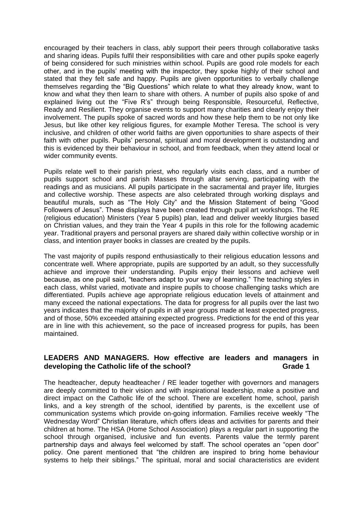encouraged by their teachers in class, ably support their peers through collaborative tasks and sharing ideas. Pupils fulfil their responsibilities with care and other pupils spoke eagerly of being considered for such ministries within school. Pupils are good role models for each other, and in the pupils' meeting with the inspector, they spoke highly of their school and stated that they felt safe and happy. Pupils are given opportunities to verbally challenge themselves regarding the "Big Questions" which relate to what they already know, want to know and what they then learn to share with others. A number of pupils also spoke of and explained living out the "Five R's" through being Responsible, Resourceful, Reflective, Ready and Resilient. They organise events to support many charities and clearly enjoy their involvement. The pupils spoke of sacred words and how these help them to be not only like Jesus, but like other key religious figures, for example Mother Teresa. The school is very inclusive, and children of other world faiths are given opportunities to share aspects of their faith with other pupils. Pupils' personal, spiritual and moral development is outstanding and this is evidenced by their behaviour in school, and from feedback, when they attend local or wider community events.

Pupils relate well to their parish priest, who regularly visits each class, and a number of pupils support school and parish Masses through altar serving, participating with the readings and as musicians. All pupils participate in the sacramental and prayer life, liturgies and collective worship. These aspects are also celebrated through working displays and beautiful murals, such as "The Holy City" and the Mission Statement of being "Good Followers of Jesus". These displays have been created through pupil art workshops. The RE (religious education) Ministers (Year 5 pupils) plan, lead and deliver weekly liturgies based on Christian values, and they train the Year 4 pupils in this role for the following academic year. Traditional prayers and personal prayers are shared daily within collective worship or in class, and intention prayer books in classes are created by the pupils.

The vast majority of pupils respond enthusiastically to their religious education lessons and concentrate well. Where appropriate, pupils are supported by an adult, so they successfully achieve and improve their understanding. Pupils enjoy their lessons and achieve well because, as one pupil said, "teachers adapt to your way of learning." The teaching styles in each class, whilst varied, motivate and inspire pupils to choose challenging tasks which are differentiated. Pupils achieve age appropriate religious education levels of attainment and many exceed the national expectations. The data for progress for all pupils over the last two years indicates that the majority of pupils in all year groups made at least expected progress, and of those, 50% exceeded attaining expected progress. Predictions for the end of this year are in line with this achievement, so the pace of increased progress for pupils, has been maintained.

#### **LEADERS AND MANAGERS. How effective are leaders and managers in**  developing the Catholic life of the school? **Grade 1**

The headteacher, deputy headteacher / RE leader together with governors and managers are deeply committed to their vision and with inspirational leadership, make a positive and direct impact on the Catholic life of the school. There are excellent home, school, parish links, and a key strength of the school, identified by parents, is the excellent use of communication systems which provide on-going information. Families receive weekly "The Wednesday Word" Christian literature, which offers ideas and activities for parents and their children at home. The HSA (Home School Association) plays a regular part in supporting the school through organised, inclusive and fun events. Parents value the termly parent partnership days and always feel welcomed by staff. The school operates an "open door" policy. One parent mentioned that "the children are inspired to bring home behaviour systems to help their siblings." The spiritual, moral and social characteristics are evident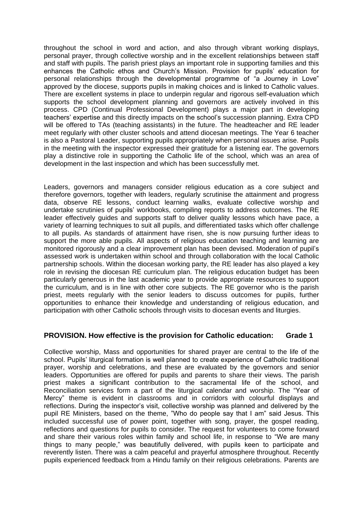throughout the school in word and action, and also through vibrant working displays, personal prayer, through collective worship and in the excellent relationships between staff and staff with pupils. The parish priest plays an important role in supporting families and this enhances the Catholic ethos and Church's Mission. Provision for pupils' education for personal relationships through the developmental programme of "a Journey in Love" approved by the diocese, supports pupils in making choices and is linked to Catholic values. There are excellent systems in place to underpin regular and rigorous self-evaluation which supports the school development planning and governors are actively involved in this process. CPD (Continual Professional Development) plays a major part in developing teachers' expertise and this directly impacts on the school's succession planning. Extra CPD will be offered to TAs (teaching assistants) in the future. The headteacher and RE leader meet regularly with other cluster schools and attend diocesan meetings. The Year 6 teacher is also a Pastoral Leader, supporting pupils appropriately when personal issues arise. Pupils in the meeting with the inspector expressed their gratitude for a listening ear. The governors play a distinctive role in supporting the Catholic life of the school, which was an area of development in the last inspection and which has been successfully met.

Leaders, governors and managers consider religious education as a core subject and therefore governors, together with leaders, regularly scrutinise the attainment and progress data, observe RE lessons, conduct learning walks, evaluate collective worship and undertake scrutinies of pupils' workbooks, compiling reports to address outcomes. The RE leader effectively guides and supports staff to deliver quality lessons which have pace, a variety of learning techniques to suit all pupils, and differentiated tasks which offer challenge to all pupils. As standards of attainment have risen, she is now pursuing further ideas to support the more able pupils. All aspects of religious education teaching and learning are monitored rigorously and a clear improvement plan has been devised. Moderation of pupil's assessed work is undertaken within school and through collaboration with the local Catholic partnership schools. Within the diocesan working party, the RE leader has also played a key role in revising the diocesan RE curriculum plan. The religious education budget has been particularly generous in the last academic year to provide appropriate resources to support the curriculum, and is in line with other core subjects. The RE governor who is the parish priest, meets regularly with the senior leaders to discuss outcomes for pupils, further opportunities to enhance their knowledge and understanding of religious education, and participation with other Catholic schools through visits to diocesan events and liturgies.

# **PROVISION. How effective is the provision for Catholic education: Grade 1**

Collective worship, Mass and opportunities for shared prayer are central to the life of the school. Pupils' liturgical formation is well planned to create experience of Catholic traditional prayer, worship and celebrations, and these are evaluated by the governors and senior leaders. Opportunities are offered for pupils and parents to share their views. The parish priest makes a significant contribution to the sacramental life of the school, and Reconciliation services form a part of the liturgical calendar and worship. The "Year of Mercy" theme is evident in classrooms and in corridors with colourful displays and reflections. During the inspector's visit, collective worship was planned and delivered by the pupil RE Ministers, based on the theme, "Who do people say that I am" said Jesus. This included successful use of power point, together with song, prayer, the gospel reading, reflections and questions for pupils to consider. The request for volunteers to come forward and share their various roles within family and school life, in response to "We are many things to many people," was beautifully delivered, with pupils keen to participate and reverently listen. There was a calm peaceful and prayerful atmosphere throughout. Recently pupils experienced feedback from a Hindu family on their religious celebrations. Parents are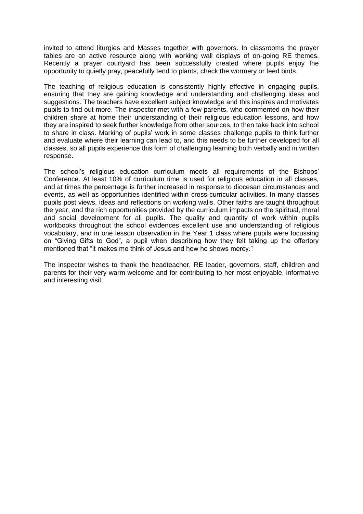invited to attend liturgies and Masses together with governors. In classrooms the prayer tables are an active resource along with working wall displays of on-going RE themes. Recently a prayer courtyard has been successfully created where pupils enjoy the opportunity to quietly pray, peacefully tend to plants, check the wormery or feed birds.

The teaching of religious education is consistently highly effective in engaging pupils, ensuring that they are gaining knowledge and understanding and challenging ideas and suggestions. The teachers have excellent subject knowledge and this inspires and motivates pupils to find out more. The inspector met with a few parents, who commented on how their children share at home their understanding of their religious education lessons, and how they are inspired to seek further knowledge from other sources, to then take back into school to share in class. Marking of pupils' work in some classes challenge pupils to think further and evaluate where their learning can lead to, and this needs to be further developed for all classes, so all pupils experience this form of challenging learning both verbally and in written response.

The school's religious education curriculum meets all requirements of the Bishops' Conference. At least 10% of curriculum time is used for religious education in all classes, and at times the percentage is further increased in response to diocesan circumstances and events, as well as opportunities identified within cross-curricular activities. In many classes pupils post views, ideas and reflections on working walls. Other faiths are taught throughout the year, and the rich opportunities provided by the curriculum impacts on the spiritual, moral and social development for all pupils. The quality and quantity of work within pupils workbooks throughout the school evidences excellent use and understanding of religious vocabulary, and in one lesson observation in the Year 1 class where pupils were focussing on "Giving Gifts to God", a pupil when describing how they felt taking up the offertory mentioned that "it makes me think of Jesus and how he shows mercy."

The inspector wishes to thank the headteacher, RE leader, governors, staff, children and parents for their very warm welcome and for contributing to her most enjoyable, informative and interesting visit.